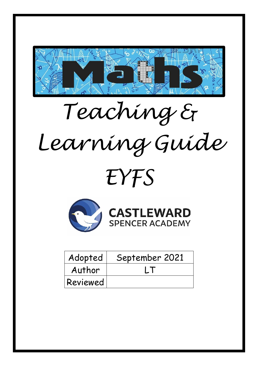

# *Teaching & Learning Guide*

## *EYFS*





| Adopted  | September 2021 |
|----------|----------------|
| Author   | $\mathbf{I}$   |
| Reviewed |                |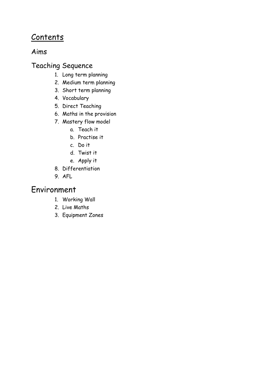## **Contents**

### Aims

## Teaching Sequence

- 1. Long term planning
- 2. Medium term planning
- 3. Short term planning
- 4. Vocabulary
- 5. Direct Teaching
- 6. Maths in the provision
- 7. Mastery flow model
	- a. Teach it
	- b. Practise it
	- c. Do it
	- d. Twist it
	- e. Apply it
- 8. Differentiation
- 9. AFL

## Environment

- 1. Working Wall
- 2. Live Maths
- 3. Equipment Zones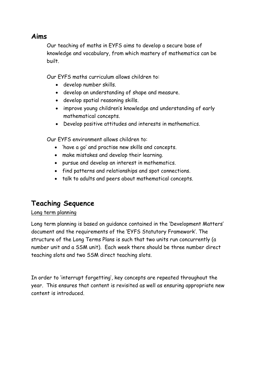#### **Aims**

Our teaching of maths in EYFS aims to develop a secure base of knowledge and vocabulary, from which mastery of mathematics can be built.

Our EYFS maths curriculum allows children to:

- develop number skills.
- develop an understanding of shape and measure.
- develop spatial reasoning skills.
- improve young children's knowledge and understanding of early mathematical concepts.
- Develop positive attitudes and interests in mathematics.

Our EYFS environment allows children to:

- 'have a go' and practise new skills and concepts.
- make mistakes and develop their learning.
- pursue and develop an interest in mathematics.
- find patterns and relationships and spot connections.
- talk to adults and peers about mathematical concepts.

## **Teaching Sequence**

#### Long term planning

Long term planning is based on guidance contained in the 'Development Matters' document and the requirements of the 'EYFS Statutory Framework'. The structure of the Long Terms Plans is such that two units run concurrently (a number unit and a SSM unit). Each week there should be three number direct teaching slots and two SSM direct teaching slots.

In order to 'interrupt forgetting', key concepts are repeated throughout the year. This ensures that content is revisited as well as ensuring appropriate new content is introduced.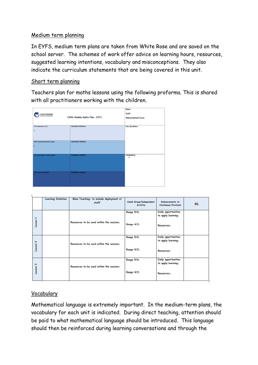#### Medium term planning

In EYFS, medium term plans are taken from White Rose and are saved on the school server. The schemes of work offer advice on learning hours, resources, suggested learning intentions, vocabulary and misconceptions. They also indicate the curriculum statements that are being covered in this unit.

#### Short term planning

Teachers plan for maths lessons using the following proforma. This is shared with all practitioners working with the children.



|                                    | Learning Intention | Main Teaching- to include deployment of<br>staff | Small Group/Independent<br>Activity | <b>Enhancements</b> to<br><b>Continuous Provision</b>   | <b>AfL</b> |
|------------------------------------|--------------------|--------------------------------------------------|-------------------------------------|---------------------------------------------------------|------------|
| $\overline{\phantom{0}}$<br>Lesson |                    | Resources to be used within the session:         | Range 5/6:<br>Range 4/3:            | Daily opportunities<br>to apply learning:<br>Resources; |            |
| $\sim$<br>Lesson                   |                    | Resources to be used within the session;         | Range 5/6:<br>Range 4/3;            | Daily opportunities<br>to apply learning:<br>Resources; |            |
| S<br>Lesson                        |                    | Resources to be used within the session;         | Range 5/6:<br>Range 4/3;            | Daily opportunities<br>to apply learning:<br>Resources; |            |

#### Vocabulary

Mathematical language is extremely important. In the medium-term plans, the vocabulary for each unit is indicated. During direct teaching, attention should be paid to what mathematical language should be introduced. This language should then be reinforced during learning conversations and through the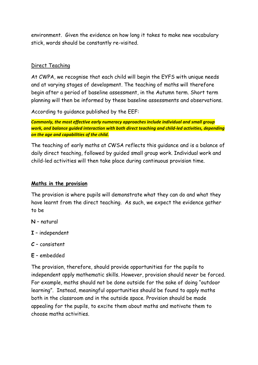environment. Given the evidence on how long it takes to make new vocabulary stick, words should be constantly re-visited.

#### Direct Teaching

At CWPA, we recognise that each child will begin the EYFS with unique needs and at varying stages of development. The teaching of maths will therefore begin after a period of baseline assessment, in the Autumn term. Short term planning will then be informed by these baseline assessments and observations.

According to guidance published by the EEF:

*Commonly, the most effective early numeracy approaches include individual and small group work, and balance guided interaction with both direct teaching and child-led activities, depending on the age and capabilities of the child.*

The teaching of early maths at CWSA reflects this guidance and is a balance of daily direct teaching, followed by guided small group work. Individual work and child-led activities will then take place during continuous provision time.

#### **Maths in the provision**

The provision is where pupils will demonstrate what they can do and what they have learnt from the direct teaching. As such, we expect the evidence gather to be

- **N** natural
- **I** independent
- **C** consistent
- **E** embedded

The provision, therefore, should provide opportunities for the pupils to independent apply mathematic skills. However, provision should never be forced. For example, maths should not be done outside for the sake of doing "outdoor learning". Instead, meaningful opportunities should be found to apply maths both in the classroom and in the outside space. Provision should be made appealing for the pupils, to excite them about maths and motivate them to choose maths activities.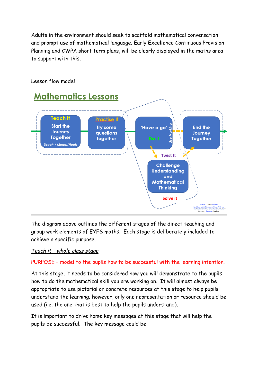Adults in the environment should seek to scaffold mathematical conversation and prompt use of mathematical language. Early Excellence Continuous Provision Planning and CWPA short term plans, will be clearly displayed in the maths area to support with this.



#### Lesson flow model

The diagram above outlines the different stages of the direct teaching and group work elements of EYFS maths. Each stage is deliberately included to achieve a specific purpose.

*Teach it – whole class stage*

PURPOSE – model to the pupils how to be successful with the learning intention.

At this stage, it needs to be considered how you will demonstrate to the pupils how to do the mathematical skill you are working on. It will almost always be appropriate to use pictorial or concrete resources at this stage to help pupils understand the learning; however, only one representation or resource should be used (i.e. the one that is best to help the pupils understand).

It is important to drive home key messages at this stage that will help the pupils be successful. The key message could be: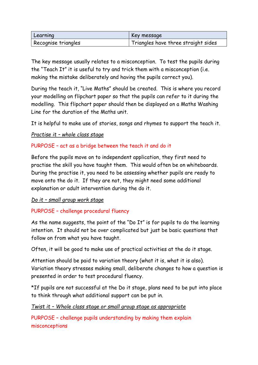| Learning            | Key message                         |
|---------------------|-------------------------------------|
| Recognise triangles | Triangles have three straight sides |

The key message usually relates to a misconception. To test the pupils during the "Teach It" it is useful to try and trick them with a misconception (i.e. making the mistake deliberately and having the pupils correct you).

During the teach it, "Live Maths" should be created. This is where you record your modelling on flipchart paper so that the pupils can refer to it during the modelling. This flipchart paper should then be displayed on a Maths Washing Line for the duration of the Maths unit.

It is helpful to make use of stories, songs and rhymes to support the teach it.

#### *Practise it – whole class stage*

#### PURPOSE – act as a bridge between the teach it and do it

Before the pupils move on to independent application, they first need to practise the skill you have taught them. This would often be on whiteboards. During the practise it, you need to be assessing whether pupils are ready to move onto the do it. If they are not, they might need some additional explanation or adult intervention during the do it.

#### *Do it – small group work stage*

#### PURPOSE – challenge procedural fluency

As the name suggests, the point of the "Do It" is for pupils to do the learning intention. It should not be over complicated but just be basic questions that follow on from what you have taught.

Often, it will be good to make use of practical activities at the do it stage.

Attention should be paid to variation theory (what it is, what it is also). Variation theory stresses making small, deliberate changes to how a question is presented in order to test procedural fluency.

\*If pupils are not successful at the Do it stage, plans need to be put into place to think through what additional support can be put in.

#### *Twist it – Whole class stage or small group stage as appropriate*

PURPOSE – challenge pupils understanding by making them explain misconceptions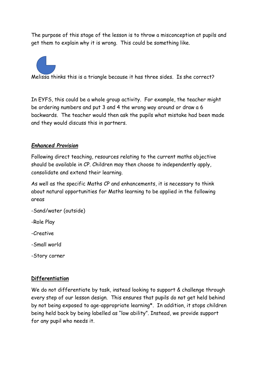The purpose of this stage of the lesson is to throw a misconception at pupils and get them to explain why it is wrong. This could be something like.



In EYFS, this could be a whole group activity. For example, the teacher might be ordering numbers and put 3 and 4 the wrong way around or draw a 6 backwards. The teacher would then ask the pupils what mistake had been made and they would discuss this in partners.

#### *Enhanced Provision*

Following direct teaching, resources relating to the current maths objective should be available in CP. Children may then choose to independently apply, consolidate and extend their learning.

As well as the specific Maths CP and enhancements, it is necessary to think about natural opportunities for Maths learning to be applied in the following areas

- -Sand/water (outside)
- -Role Play
- -Creative
- -Small world
- -Story corner

#### **Differentiation**

We do not differentiate by task, instead looking to support & challenge through every step of our lesson design. This ensures that pupils do not get held behind by not being exposed to age-appropriate learning\*. In addition, it stops children being held back by being labelled as "low ability". Instead, we provide support for any pupil who needs it.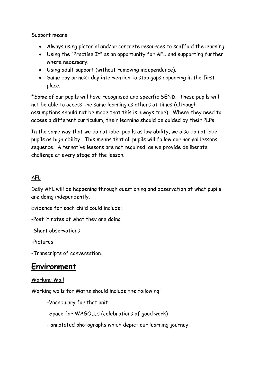Support means:

- Always using pictorial and/or concrete resources to scaffold the learning.
- Using the "Practise It" as an opportunity for AFL and supporting further where necessary.
- Using adult support (without removing independence).
- Same day or next day intervention to stop gaps appearing in the first place.

\*Some of our pupils will have recognised and specific SEND. These pupils will not be able to access the same learning as others at times (although assumptions should not be made that this is always true). Where they need to access a different curriculum, their learning should be guided by their PLPs.

In the same way that we do not label pupils as low ability, we also do not label pupils as high ability. This means that all pupils will follow our normal lessons sequence. Alternative lessons are not required, as we provide deliberate challenge at every stage of the lesson.

#### **AFL**

Daily AFL will be happening through questioning and observation of what pupils are doing independently.

Evidence for each child could include:

-Post it notes of what they are doing

-Short observations

-Pictures

-Transcripts of conversation.

## **Environment**

#### Working Wall

Working walls for Maths should include the following:

-Vocabulary for that unit

-Space for WAGOLLs (celebrations of good work)

- annotated photographs which depict our learning journey.